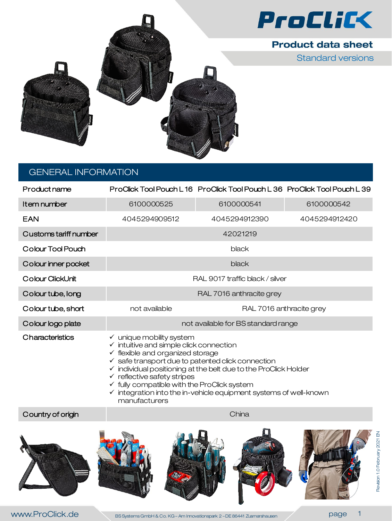



Standard versions



# GENERAL INFORMATION

| Product name          |                                                                                                                                                                                                                                                                                                                                                                                                                                                                                             | ProClick Tool Pouch L16 ProClick Tool Pouch L36 ProClick Tool Pouch L39 |               |  |
|-----------------------|---------------------------------------------------------------------------------------------------------------------------------------------------------------------------------------------------------------------------------------------------------------------------------------------------------------------------------------------------------------------------------------------------------------------------------------------------------------------------------------------|-------------------------------------------------------------------------|---------------|--|
| Item number           | 6100000525                                                                                                                                                                                                                                                                                                                                                                                                                                                                                  | 6100000541                                                              | 6100000542    |  |
| <b>EAN</b>            | 4045294909512                                                                                                                                                                                                                                                                                                                                                                                                                                                                               | 4045294912390                                                           | 4045294912420 |  |
| Customs tariff number | 42021219                                                                                                                                                                                                                                                                                                                                                                                                                                                                                    |                                                                         |               |  |
| Colour Tool Pouch     | black                                                                                                                                                                                                                                                                                                                                                                                                                                                                                       |                                                                         |               |  |
| Colour inner pocket   | black                                                                                                                                                                                                                                                                                                                                                                                                                                                                                       |                                                                         |               |  |
| Colour ClickUnit      | RAL 9017 traffic black / silver                                                                                                                                                                                                                                                                                                                                                                                                                                                             |                                                                         |               |  |
| Colour tube, long     | RAL 7016 anthracite grey                                                                                                                                                                                                                                                                                                                                                                                                                                                                    |                                                                         |               |  |
| Colour tube, short    | not available                                                                                                                                                                                                                                                                                                                                                                                                                                                                               | RAL 7016 anthracite grey                                                |               |  |
| Colour logo plate     | not available for BS standard range                                                                                                                                                                                                                                                                                                                                                                                                                                                         |                                                                         |               |  |
| Characteristics       | $\checkmark$ unique mobility system<br>$\checkmark$ intuitive and simple click connection<br>$\checkmark$ flexible and organized storage<br>$\checkmark$ safe transport due to patented click connection<br>$\checkmark$ individual positioning at the belt due to the ProClick Holder<br>$\checkmark$ reflective safety stripes<br>$\checkmark$ fully compatible with the ProClick system<br>$\checkmark$ integration into the in-vehicle equipment systems of well-known<br>manufacturers |                                                                         |               |  |
| Country of origin     | China                                                                                                                                                                                                                                                                                                                                                                                                                                                                                       |                                                                         |               |  |
|                       |                                                                                                                                                                                                                                                                                                                                                                                                                                                                                             |                                                                         |               |  |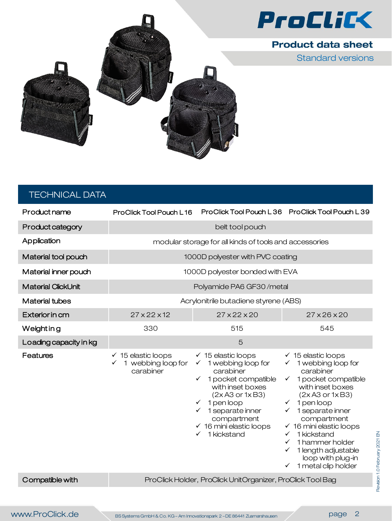

Standard versions



| <b>TECHNICAL DATA</b>   |                                                                  |                                                                                                                                                                                                                                                                                   |                                                                                                                                                                                                                                                                                                                                                                                                                      |  |
|-------------------------|------------------------------------------------------------------|-----------------------------------------------------------------------------------------------------------------------------------------------------------------------------------------------------------------------------------------------------------------------------------|----------------------------------------------------------------------------------------------------------------------------------------------------------------------------------------------------------------------------------------------------------------------------------------------------------------------------------------------------------------------------------------------------------------------|--|
| Product name            | ProClick Tool Pouch L16                                          |                                                                                                                                                                                                                                                                                   | ProClick Tool Pouch L36 ProClick Tool Pouch L39                                                                                                                                                                                                                                                                                                                                                                      |  |
| <b>Product category</b> | belt tool pouch                                                  |                                                                                                                                                                                                                                                                                   |                                                                                                                                                                                                                                                                                                                                                                                                                      |  |
| Application             | modular storage for all kinds of tools and accessories           |                                                                                                                                                                                                                                                                                   |                                                                                                                                                                                                                                                                                                                                                                                                                      |  |
| Material tool pouch     | 1000D polyester with PVC coating                                 |                                                                                                                                                                                                                                                                                   |                                                                                                                                                                                                                                                                                                                                                                                                                      |  |
| Material inner pouch    | 1000D polyester bonded with EVA                                  |                                                                                                                                                                                                                                                                                   |                                                                                                                                                                                                                                                                                                                                                                                                                      |  |
| Material ClickUnit      | Polyamide PA6 GF30/metal                                         |                                                                                                                                                                                                                                                                                   |                                                                                                                                                                                                                                                                                                                                                                                                                      |  |
| <b>Material tubes</b>   | Acrylonitrile butadiene styrene (ABS)                            |                                                                                                                                                                                                                                                                                   |                                                                                                                                                                                                                                                                                                                                                                                                                      |  |
| <b>Exterior in cm</b>   | $27 \times 22 \times 12$                                         | $27 \times 22 \times 20$                                                                                                                                                                                                                                                          | $27 \times 26 \times 20$                                                                                                                                                                                                                                                                                                                                                                                             |  |
| Weight in g             | 330                                                              | 515                                                                                                                                                                                                                                                                               | 545                                                                                                                                                                                                                                                                                                                                                                                                                  |  |
| Loading capacity in kg  |                                                                  | 5                                                                                                                                                                                                                                                                                 |                                                                                                                                                                                                                                                                                                                                                                                                                      |  |
| <b>Features</b>         | $\checkmark$ 15 elastic loops<br>1 webbing loop for<br>carabiner | $\checkmark$ 15 elastic loops<br>$\checkmark$ 1 webbing loop for<br>carabiner<br>1 pocket compatible<br>with inset boxes<br>(2x A3 or 1x B3)<br>$\checkmark$ 1 pen loop<br>$\checkmark$ 1 separate inner<br>compartment<br>$\checkmark$ 16 mini elastic loops<br>1 kickstand<br>✓ | $\checkmark$ 15 elastic loops<br>$\checkmark$ 1 webbing loop for<br>carabiner<br>$\checkmark$ 1 pocket compatible<br>with inset boxes<br>$(2xA3$ or $1xB3)$<br>$\checkmark$ 1 pen loop<br>1 separate inner<br>compartment<br>$\checkmark$ 16 mini elastic loops<br>1 kickstand<br>$\checkmark$<br>1 hammer holder<br>$\checkmark$<br>1 length adjustable<br>loop with plug-in<br>1 metal clip holder<br>$\checkmark$ |  |
| Compatible with         | ProClick Holder, ProClick UnitOrganizer, ProClick Tool Bag       |                                                                                                                                                                                                                                                                                   |                                                                                                                                                                                                                                                                                                                                                                                                                      |  |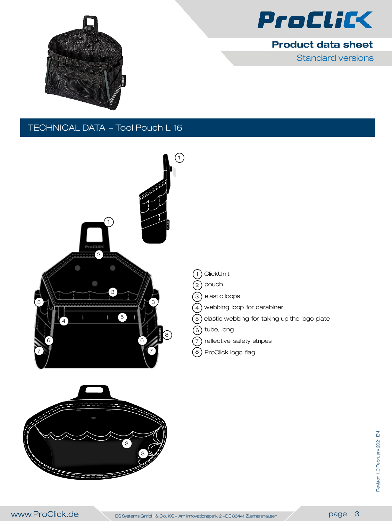

Standard versions



# TECHNICAL DATA – Tool Pouch L 16



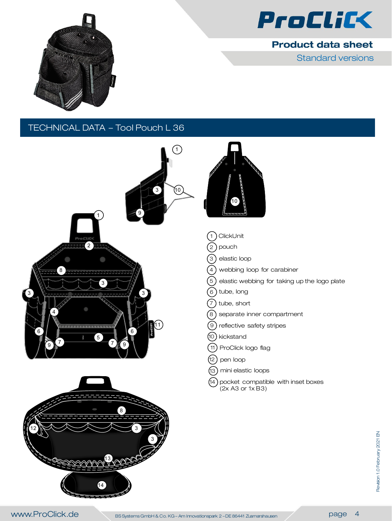

Standard versions



#### TECHNICAL DATA – Tool Pouch L 36